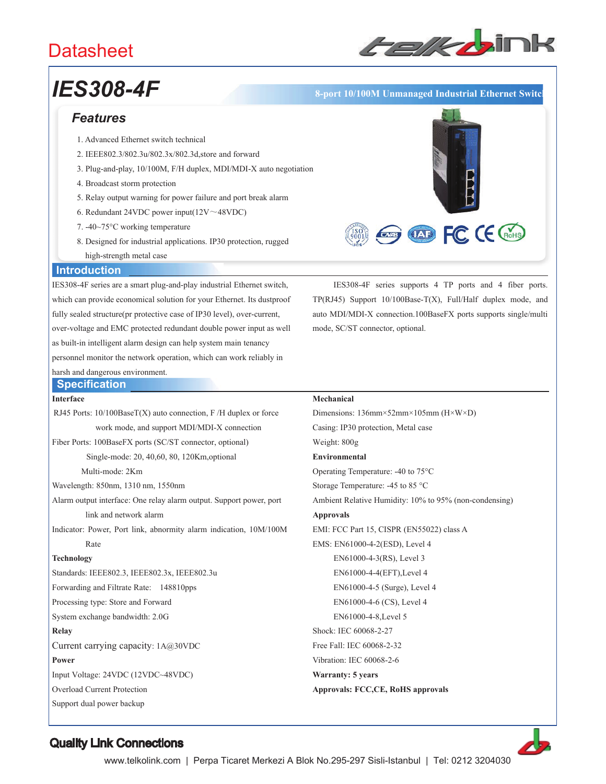# **Datasheet**



# *IES308-4F* **8-port 10/100M Unmanaged Industrial Ethernet Switch**

## *Features*

- 1. Advanced Ethernet switch technical
- 2. IEEE802.3/802.3u/802.3x/802.3d,store and forward
- 3. Plug-and-play, 10/100M, F/H duplex, MDI/MDI-X auto negotiation
- 4. Broadcast storm protection
- 5. Relay output warning for power failure and port break alarm
- 6. Redundant 24VDC power input( $12V \sim 48VDC$ )
- 7. -40~75°C working temperature
- 8. Designed for industrial applications. IP30 protection, rugged high-strength metal case



#### **Introduction**

IES308-4F series are a smart plug-and-play industrial Ethernet switch, which can provide economical solution for your Ethernet. Its dustproof fully sealed structure(pr protective case of IP30 level), over-current, over-voltage and EMC protected redundant double power input as well as built-in intelligent alarm design can help system main tenancy personnel monitor the network operation, which can work reliably in harsh and dangerous environment.

IES308-4F series supports 4 TP ports and 4 fiber ports. TP(RJ45) Support 10/100Base-T(X), Full/Half duplex mode, and auto MDI/MDI-X connection.100BaseFX ports supports single/multi mode, SC/ST connector, optional.

#### **Specification Interface**

RJ45 Ports: 10/100BaseT(X) auto connection, F /H duplex or force work mode, and support MDI/MDI-X connection Fiber Ports: 100BaseFX ports (SC/ST connector, optional) Single-mode: 20, 40,60, 80, 120Km,optional Multi-mode: 2Km Wavelength: 850nm, 1310 nm, 1550nm Alarm output interface: One relay alarm output. Support power, port link and network alarm Indicator: Power, Port link, abnormity alarm indication, 10M/100M Rate **Technology** Standards: IEEE802.3, IEEE802.3x, IEEE802.3u Forwarding and Filtrate Rate: 148810pps Processing type: Store and Forward System exchange bandwidth: 2.0G **Relay** Current carrying capacity: 1A@30VDC **Power** Input Voltage: 24VDC (12VDC~48VDC)

Overload Current Protection

Support dual power backup

#### **Mechanical**

Dimensions: 136mm×52mm×105mm (H×W×D) Casing: IP30 protection, Metal case Weight: 800g **Environmental** Operating Temperature: -40 to 75°C Storage Temperature: -45 to 85 °C Ambient Relative Humidity: 10% to 95% (non-condensing) **Approvals** EMI: FCC Part 15, CISPR (EN55022) class A EMS: EN61000-4-2(ESD), Level 4 EN61000-4-3(RS), Level 3 EN61000-4-4(EFT),Level 4 EN61000-4-5 (Surge), Level 4 EN61000-4-6 (CS), Level 4 EN61000-4-8,Level 5 Shock: IEC 60068-2-27 Free Fall: IEC 60068-2-32 Vibration: IEC 60068-2-6 **Warranty: 5 years Approvals: FCC,CE, RoHS approvals**



## Quality Link Connections